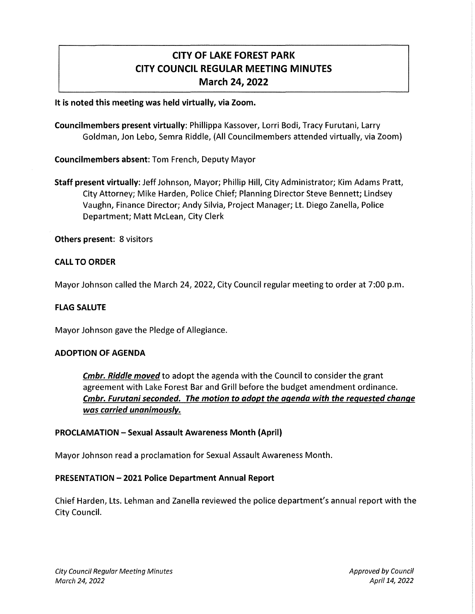# CITY OF LAKE FOREST PARK CITY COUNCIL REGULAR MEETING MINUTES March 24, 2022

It is noted this meeting was held virtually, via Zoom.

Councilmembers present virtually: Phillippa Kassover, Lorri Bodi, Tracy Furutani, Larry Goldman, Jon Lebo, Semra Riddle, (All Councilmembers attended virtually, via Zoom)

Councilmembers absent: Tom French, Deputy Mayor

Staff present virtually: Jeff Johnson, Mayor; Phillip Hill, City Administrator; Kim Adams Pratt, City Attorney; Mike Harden, Police Chief; Planning Director Steve Bennett; Lindsey Vaughn, Finance Director; Andy Silvia, Project Manager; Lt. Diego Zanella, Police Department; Matt Mclean, City Clerk

Others present: 8 visitors

### CALL TO ORDER

Mayor Johnson called the March 24, 2022, City Council regular meeting to order at 7:00 p.m.

#### FLAG SALUTE

Mayor Johnson gave the Pledge of Allegiance.

#### ADOPTION OF AGENDA

**Cmbr. Riddle moved** to adopt the agenda with the Council to consider the grant agreement with Lake Forest Bar and Grill before the budget amendment ordinance. Cmbr. Furutani seconded. The motion to adopt the agenda with the requested change was carried unanimously.

#### PROCLAMATION - Sexual Assault Awareness Month (April)

Mayor Johnson read a proclamation for Sexual Assault Awareness Month.

#### PRESENTATION-2021 Police Department Annual Report

Chief Harden, Lts. Lehman and Zanella reviewed the police department's annual report with the City Council.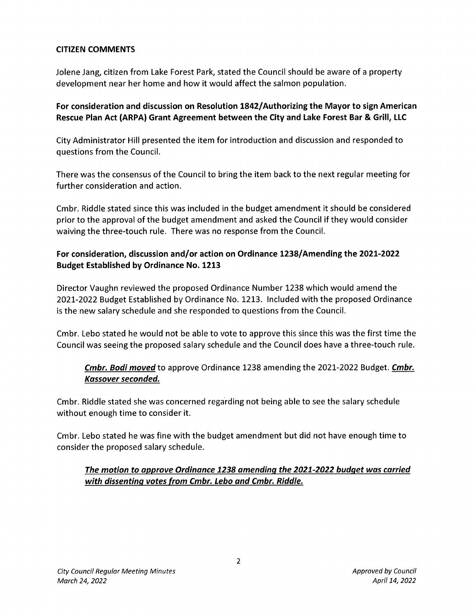### **CITIZEN COMMENTS**

Jolene Jang, citizen from Lake Forest Park, stated the Council should be aware of a property development near her home and how it would affect the salmon population.

### **For consideration and discussion on Resolution 1842/ Authorizing the Mayor to sign American Rescue Plan Act (ARPA) Grant Agreement between the City and Lake Forest Bar & Grill, LLC**

City Administrator Hill presented the item for introduction and discussion and responded to questions from the Council.

There was the consensus of the Council to bring the item back to the next regular meeting for further consideration and action.

Cmbr. Riddle stated since this was included in the budget amendment it should be considered prior to the approval of the budget amendment and asked the Council if they would consider waiving the three-touch rule. There was no response from the Council.

### **For consideration, discussion and/or action on Ordinance 1238/Amending the 2021-2022 Budget Established by Ordinance No. 1213**

Director Vaughn reviewed the proposed Ordinance Number 1238 which would amend the 2021-2022 Budget Established by Ordinance No. 1213. Included with the proposed Ordinance is the new salary schedule and she responded to questions from the Council.

Cmbr. Lebo stated he would not be able to vote to approve this since this was the first time the Council was seeing the proposed salary schedule and the Council does have a three-touch rule.

## **Cmbr. Bodi moved** to approve Ordinance 1238 amending the 2021-2022 Budget. **Cmbr. Kassover seconded.**

Cmbr. Riddle stated she was concerned regarding not being able to see the salary schedule without enough time to consider it.

Cmbr. Lebo stated he was fine with the budget amendment but did not have enough time to consider the proposed salary schedule.

### **The motion to approve Ordinance 1238 amending the 2021-2022 budget was carried with dissenting votes from Cmbr. Lebo and Cmbr. Riddle.**